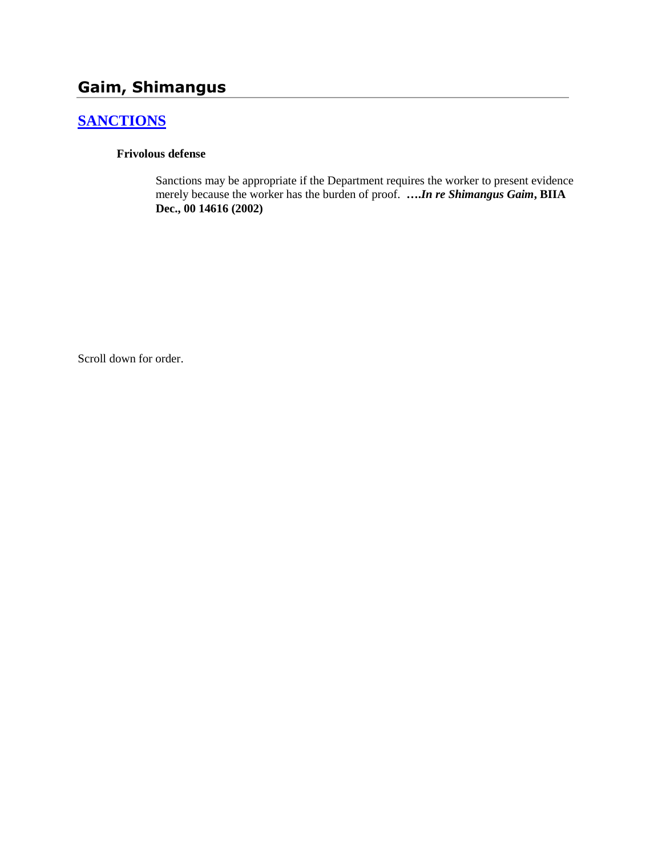# **Gaim, Shimangus**

## **[SANCTIONS](http://www.biia.wa.gov/SDSubjectIndex.html#SANCTIONS)**

#### **Frivolous defense**

Sanctions may be appropriate if the Department requires the worker to present evidence merely because the worker has the burden of proof. **….***In re Shimangus Gaim***, BIIA Dec., 00 14616 (2002)**

Scroll down for order.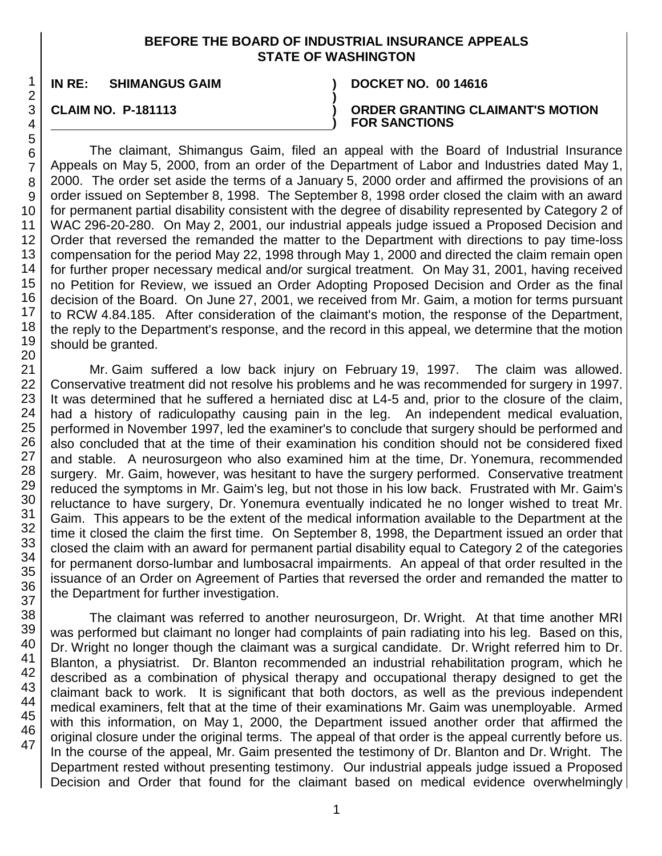#### **BEFORE THE BOARD OF INDUSTRIAL INSURANCE APPEALS STATE OF WASHINGTON**

**)**

**)**

**IN RE: SHIMANGUS GAIM ) DOCKET NO. 00 14616**

**CLAIM NO. P-181113 )**

**ORDER GRANTING CLAIMANT'S MOTION FOR SANCTIONS**

The claimant, Shimangus Gaim, filed an appeal with the Board of Industrial Insurance Appeals on May 5, 2000, from an order of the Department of Labor and Industries dated May 1, 2000. The order set aside the terms of a January 5, 2000 order and affirmed the provisions of an order issued on September 8, 1998. The September 8, 1998 order closed the claim with an award for permanent partial disability consistent with the degree of disability represented by Category 2 of WAC 296-20-280. On May 2, 2001, our industrial appeals judge issued a Proposed Decision and Order that reversed the remanded the matter to the Department with directions to pay time-loss compensation for the period May 22, 1998 through May 1, 2000 and directed the claim remain open for further proper necessary medical and/or surgical treatment. On May 31, 2001, having received no Petition for Review, we issued an Order Adopting Proposed Decision and Order as the final decision of the Board. On June 27, 2001, we received from Mr. Gaim, a motion for terms pursuant to RCW 4.84.185. After consideration of the claimant's motion, the response of the Department, the reply to the Department's response, and the record in this appeal, we determine that the motion should be granted.

Mr. Gaim suffered a low back injury on February 19, 1997. The claim was allowed. Conservative treatment did not resolve his problems and he was recommended for surgery in 1997. It was determined that he suffered a herniated disc at L4-5 and, prior to the closure of the claim, had a history of radiculopathy causing pain in the leg. An independent medical evaluation, performed in November 1997, led the examiner's to conclude that surgery should be performed and also concluded that at the time of their examination his condition should not be considered fixed and stable. A neurosurgeon who also examined him at the time, Dr. Yonemura, recommended surgery. Mr. Gaim, however, was hesitant to have the surgery performed. Conservative treatment reduced the symptoms in Mr. Gaim's leg, but not those in his low back. Frustrated with Mr. Gaim's reluctance to have surgery, Dr. Yonemura eventually indicated he no longer wished to treat Mr. Gaim. This appears to be the extent of the medical information available to the Department at the time it closed the claim the first time. On September 8, 1998, the Department issued an order that closed the claim with an award for permanent partial disability equal to Category 2 of the categories for permanent dorso-lumbar and lumbosacral impairments. An appeal of that order resulted in the issuance of an Order on Agreement of Parties that reversed the order and remanded the matter to the Department for further investigation.

The claimant was referred to another neurosurgeon, Dr. Wright. At that time another MRI was performed but claimant no longer had complaints of pain radiating into his leg. Based on this, Dr. Wright no longer though the claimant was a surgical candidate. Dr. Wright referred him to Dr. Blanton, a physiatrist. Dr. Blanton recommended an industrial rehabilitation program, which he described as a combination of physical therapy and occupational therapy designed to get the claimant back to work. It is significant that both doctors, as well as the previous independent medical examiners, felt that at the time of their examinations Mr. Gaim was unemployable. Armed with this information, on May 1, 2000, the Department issued another order that affirmed the original closure under the original terms. The appeal of that order is the appeal currently before us. In the course of the appeal, Mr. Gaim presented the testimony of Dr. Blanton and Dr. Wright. The Department rested without presenting testimony. Our industrial appeals judge issued a Proposed Decision and Order that found for the claimant based on medical evidence overwhelmingly

1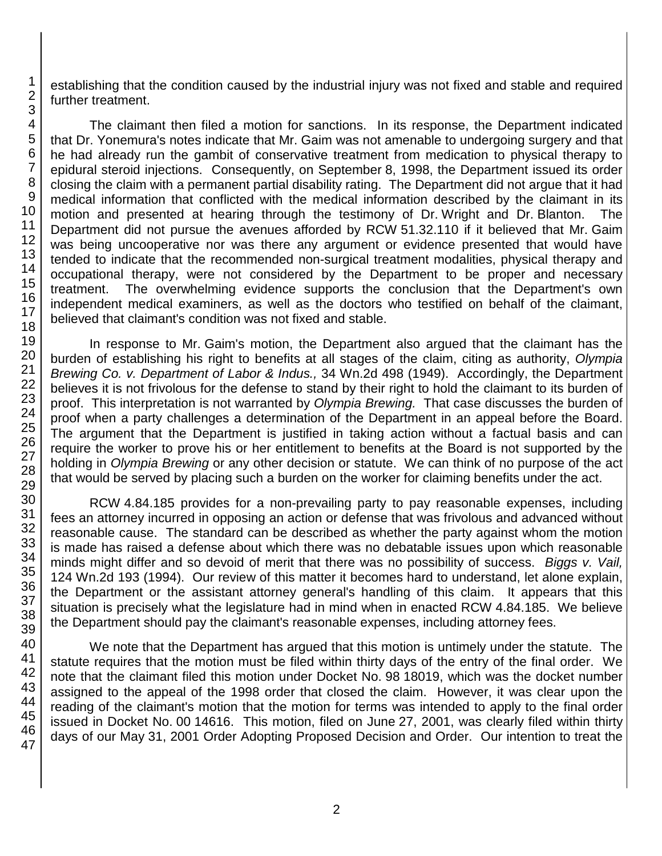establishing that the condition caused by the industrial injury was not fixed and stable and required further treatment.

The claimant then filed a motion for sanctions. In its response, the Department indicated that Dr. Yonemura's notes indicate that Mr. Gaim was not amenable to undergoing surgery and that he had already run the gambit of conservative treatment from medication to physical therapy to epidural steroid injections. Consequently, on September 8, 1998, the Department issued its order closing the claim with a permanent partial disability rating. The Department did not argue that it had medical information that conflicted with the medical information described by the claimant in its motion and presented at hearing through the testimony of Dr. Wright and Dr. Blanton. The Department did not pursue the avenues afforded by RCW 51.32.110 if it believed that Mr. Gaim was being uncooperative nor was there any argument or evidence presented that would have tended to indicate that the recommended non-surgical treatment modalities, physical therapy and occupational therapy, were not considered by the Department to be proper and necessary treatment. The overwhelming evidence supports the conclusion that the Department's own independent medical examiners, as well as the doctors who testified on behalf of the claimant, believed that claimant's condition was not fixed and stable.

In response to Mr. Gaim's motion, the Department also argued that the claimant has the burden of establishing his right to benefits at all stages of the claim, citing as authority, *Olympia Brewing Co. v. Department of Labor & Indus.,* 34 Wn.2d 498 (1949). Accordingly, the Department believes it is not frivolous for the defense to stand by their right to hold the claimant to its burden of proof. This interpretation is not warranted by *Olympia Brewing.* That case discusses the burden of proof when a party challenges a determination of the Department in an appeal before the Board. The argument that the Department is justified in taking action without a factual basis and can require the worker to prove his or her entitlement to benefits at the Board is not supported by the holding in *Olympia Brewing* or any other decision or statute. We can think of no purpose of the act that would be served by placing such a burden on the worker for claiming benefits under the act.

RCW 4.84.185 provides for a non-prevailing party to pay reasonable expenses, including fees an attorney incurred in opposing an action or defense that was frivolous and advanced without reasonable cause. The standard can be described as whether the party against whom the motion is made has raised a defense about which there was no debatable issues upon which reasonable minds might differ and so devoid of merit that there was no possibility of success. *Biggs v. Vail,*  124 Wn.2d 193 (1994). Our review of this matter it becomes hard to understand, let alone explain, the Department or the assistant attorney general's handling of this claim. It appears that this situation is precisely what the legislature had in mind when in enacted RCW 4.84.185. We believe the Department should pay the claimant's reasonable expenses, including attorney fees.

We note that the Department has argued that this motion is untimely under the statute. The statute requires that the motion must be filed within thirty days of the entry of the final order. We note that the claimant filed this motion under Docket No. 98 18019, which was the docket number assigned to the appeal of the 1998 order that closed the claim. However, it was clear upon the reading of the claimant's motion that the motion for terms was intended to apply to the final order issued in Docket No. 00 14616. This motion, filed on June 27, 2001, was clearly filed within thirty days of our May 31, 2001 Order Adopting Proposed Decision and Order. Our intention to treat the

1